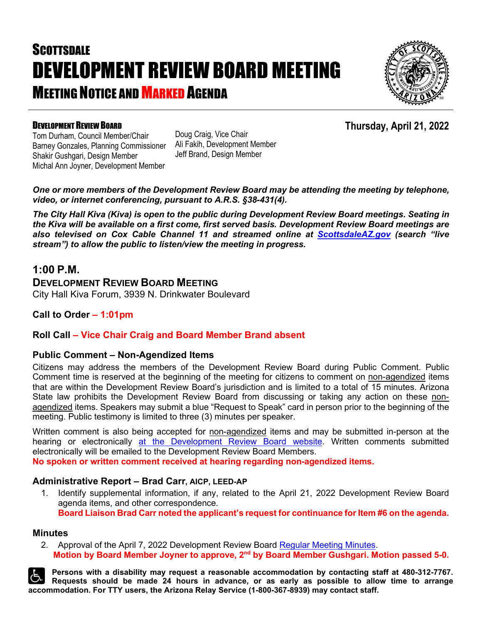# **SCOTTSDALE** DEVELOPMENT REVIEW BOARD MEETING **MEETING NOTICE AND MARKED AGENDA**



#### DEVELOPMENT REVIEW BOARD

**Thursday, April 21, 2022**

Tom Durham, Council Member/Chair Barney Gonzales, Planning Commissioner Shakir Gushgari, Design Member Michal Ann Joyner, Development Member

Doug Craig, Vice Chair Ali Fakih, Development Member Jeff Brand, Design Member

*One or more members of the Development Review Board may be attending the meeting by telephone, video, or internet conferencing, pursuant to A.R.S. §38-431(4).*

*The City Hall Kiva (Kiva) is open to the public during Development Review Board meetings. Seating in the Kiva will be available on a first come, first served basis. Development Review Board meetings are also televised on Cox Cable Channel 11 and streamed online at [ScottsdaleAZ.gov](http://www.scottsdaleaz.gov/) (search "live stream") to allow the public to listen/view the meeting in progress.*

#### **1:00 P.M.**

#### **DEVELOPMENT REVIEW BOARD MEETING**

City Hall Kiva Forum, 3939 N. Drinkwater Boulevard

**Call to Order – 1:01pm**

#### **Roll Call – Vice Chair Craig and Board Member Brand absent**

#### **Public Comment – Non-Agendized Items**

Citizens may address the members of the Development Review Board during Public Comment. Public Comment time is reserved at the beginning of the meeting for citizens to comment on non-agendized items that are within the Development Review Board's jurisdiction and is limited to a total of 15 minutes. Arizona State law prohibits the Development Review Board from discussing or taking any action on these nonagendized items. Speakers may submit a blue "Request to Speak" card in person prior to the beginning of the meeting. Public testimony is limited to three (3) minutes per speaker.

Written comment is also being accepted for non-agendized items and may be submitted in-person at the hearing or electronically [at the Development Review Board](https://www.scottsdaleaz.gov/boards/development-review-board/public-comment) website. Written comments submitted electronically will be emailed to the Development Review Board Members.

**No spoken or written comment received at hearing regarding non-agendized items.**

#### **Administrative Report – Brad Carr, AICP, LEED-AP**

1. Identify supplemental information, if any, related to the April 21, 2022 Development Review Board agenda items, and other correspondence. **Board Liaison Brad Carr noted the applicant's request for continuance for Item #6 on the agenda.**

#### **Minutes**

2. Approval of the April 7, 2022 Development Review Board [Regular Meeting Minutes.](https://eservices.scottsdaleaz.gov/planning/projectsummary/unrelated_documents/DRB_MEETING_MINUTES_04072022.pdf) **Motion by Board Member Joyner to approve, 2nd by Board Member Gushgari. Motion passed 5-0.**

**Persons with a disability may request a reasonable accommodation by contacting staff at 480-312-7767. Requests should be made 24 hours in advance, or as early as possible to allow time to arrange accommodation. For TTY users, the Arizona Relay Service (1-800-367-8939) may contact staff.**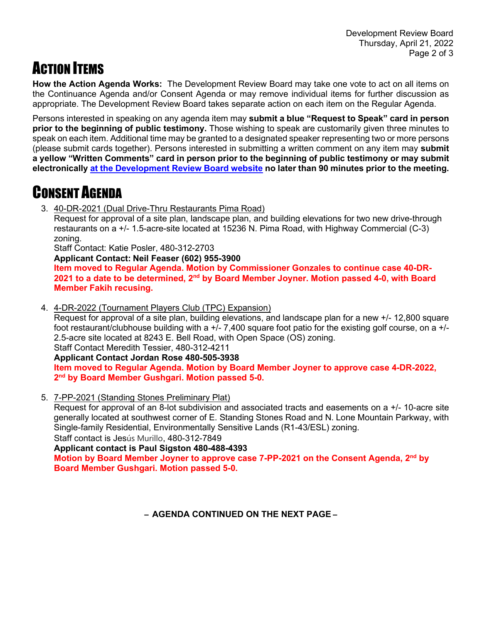## **ACTION ITEMS**

**How the Action Agenda Works:** The Development Review Board may take one vote to act on all items on the Continuance Agenda and/or Consent Agenda or may remove individual items for further discussion as appropriate. The Development Review Board takes separate action on each item on the Regular Agenda.

Persons interested in speaking on any agenda item may **submit a blue "Request to Speak" card in person prior to the beginning of public testimony.** Those wishing to speak are customarily given three minutes to speak on each item. Additional time may be granted to a designated speaker representing two or more persons (please submit cards together). Persons interested in submitting a written comment on any item may **submit a yellow "Written Comments" card in person prior to the beginning of public testimony or may submit electronically [at the Development Review Board website](https://www.scottsdaleaz.gov/boards/development-review-board/public-comment) no later than 90 minutes prior to the meeting.**

## CONSENT AGENDA

3. 40-DR-2021 (Dual Drive-Thru Restaurants Pima Road)

Request for approval of a site plan, landscape plan, and building elevations for two new drive-through restaurants on a +/- 1.5-acre-site located at 15236 N. Pima Road, with Highway Commercial (C-3) zoning.

Staff Contact: Katie Posler, 480-312-2703

**Applicant Contact: Neil Feaser (602) 955-3900**

**Item moved to Regular Agenda. Motion by Commissioner Gonzales to continue case 40-DR-2021 to a date to be determined, 2nd by Board Member Joyner. Motion passed 4-0, with Board Member Fakih recusing.**

4. 4-DR-2022 (Tournament Players Club (TPC) Expansion)

Request for approval of a site plan, building elevations, and landscape plan for a new +/- 12,800 square foot restaurant/clubhouse building with a +/- 7,400 square foot patio for the existing golf course, on a +/- 2.5-acre site located at 8243 E. Bell Road, with Open Space (OS) zoning.

Staff Contact Meredith Tessier, 480-312-4211

**Applicant Contact Jordan Rose 480-505-3938**

**Item moved to Regular Agenda. Motion by Board Member Joyner to approve case 4-DR-2022, 2nd by Board Member Gushgari. Motion passed 5-0.**

5. 7-PP-2021 (Standing Stones Preliminary Plat)

Request for approval of an 8-lot subdivision and associated tracts and easements on a +/- 10-acre site generally located at southwest corner of E. Standing Stones Road and N. Lone Mountain Parkway, with Single-family Residential, Environmentally Sensitive Lands (R1-43/ESL) zoning.

Staff contact is Jesús Murillo, 480-312-7849

**Applicant contact is Paul Sigston 480-488-4393**

**Motion by Board Member Joyner to approve case 7-PP-2021 on the Consent Agenda, 2nd by Board Member Gushgari. Motion passed 5-0.**

**– AGENDA CONTINUED ON THE NEXT PAGE –**